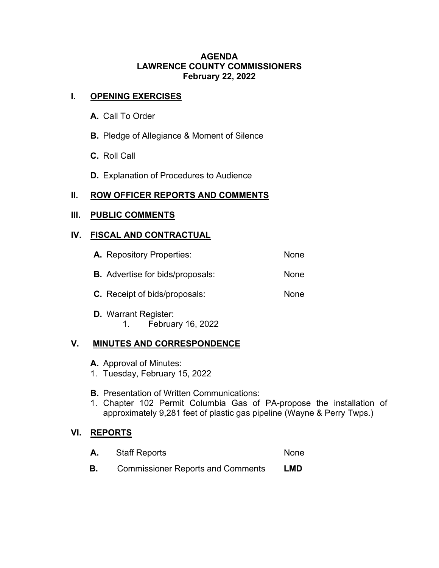#### **AGENDA LAWRENCE COUNTY COMMISSIONERS February 22, 2022**

### **I. OPENING EXERCISES**

- **A.** Call To Order
- **B.** Pledge of Allegiance & Moment of Silence
- **C.** Roll Call
- **D.** Explanation of Procedures to Audience

# **II. ROW OFFICER REPORTS AND COMMENTS**

# **III. PUBLIC COMMENTS**

### **IV. FISCAL AND CONTRACTUAL**

| <b>A.</b> Repository Properties:        | None |
|-----------------------------------------|------|
| <b>B.</b> Advertise for bids/proposals: | None |
| <b>C.</b> Receipt of bids/proposals:    | None |
| <b>D.</b> Warrant Register:             |      |

1. February 16, 2022

#### **V. MINUTES AND CORRESPONDENCE**

- **A.** Approval of Minutes:
- 1. Tuesday, February 15, 2022
- **B.** Presentation of Written Communications:
- 1. Chapter 102 Permit Columbia Gas of PA-propose the installation of approximately 9,281 feet of plastic gas pipeline (Wayne & Perry Twps.)

#### **VI. REPORTS**

| <b>Staff Reports</b>                     | None |
|------------------------------------------|------|
| <b>Commissioner Reports and Comments</b> | LMD  |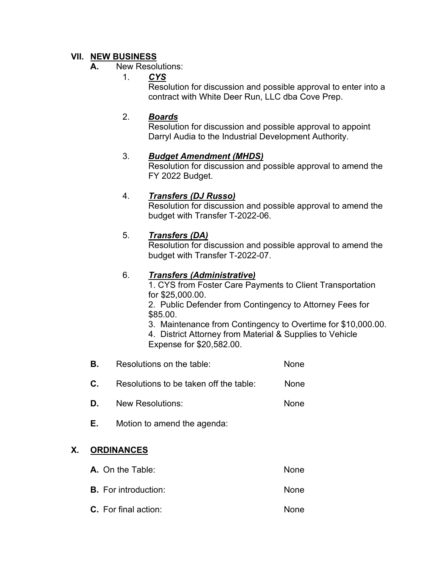# **VII. NEW BUSINESS**

### **A.** New Resolutions:

1. *CYS*

Resolution for discussion and possible approval to enter into a contract with White Deer Run, LLC dba Cove Prep.

### 2. *Boards*

Resolution for discussion and possible approval to appoint Darryl Audia to the Industrial Development Authority.

# 3. *Budget Amendment (MHDS)*

Resolution for discussion and possible approval to amend the FY 2022 Budget.

### 4. *Transfers (DJ Russo)*

Resolution for discussion and possible approval to amend the budget with Transfer T-2022-06.

### 5. *Transfers (DA)*

Resolution for discussion and possible approval to amend the budget with Transfer T-2022-07.

# 6. *Transfers (Administrative)*

1. CYS from Foster Care Payments to Client Transportation for \$25,000.00.

2. Public Defender from Contingency to Attorney Fees for \$85.00.

3. Maintenance from Contingency to Overtime for \$10,000.00.

4. District Attorney from Material & Supplies to Vehicle Expense for \$20,582.00.

- **B.** Resolutions on the table: None
- **C.** Resolutions to be taken off the table: None
- **D.** New Resolutions: None
- **E.** Motion to amend the agenda:

# **X. ORDINANCES**

| <b>A.</b> On the Table:     | None |
|-----------------------------|------|
| <b>B.</b> For introduction: | None |
| <b>C.</b> For final action: | None |